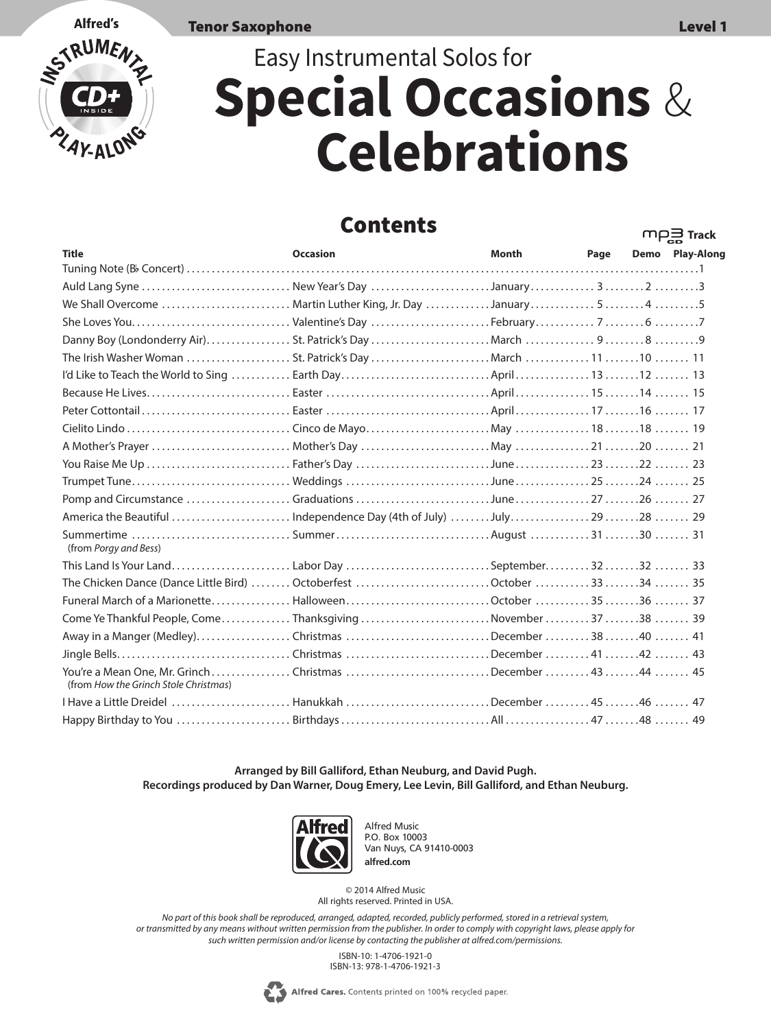$m$  $\Box$ **Track** 

Tenor Saxophone Level 1

# **Alfred's** RUME

# Easy Instrumental Solos for **Special Occasions** & **Celebrations**

#### Contents

|                                                                                                   |                 |       |      | <b>CD</b>       |
|---------------------------------------------------------------------------------------------------|-----------------|-------|------|-----------------|
| <b>Title</b>                                                                                      | <b>Occasion</b> | Month | Page | Demo Play-Along |
|                                                                                                   |                 |       |      |                 |
| Auld Lang Syne  New Year's Day January2 3                                                         |                 |       |      |                 |
| We Shall Overcome  Martin Luther King, Jr. Day January 545                                        |                 |       |      |                 |
|                                                                                                   |                 |       |      |                 |
|                                                                                                   |                 |       |      |                 |
|                                                                                                   |                 |       |      |                 |
|                                                                                                   |                 |       |      |                 |
|                                                                                                   |                 |       |      |                 |
|                                                                                                   |                 |       |      |                 |
|                                                                                                   |                 |       |      |                 |
|                                                                                                   |                 |       |      |                 |
|                                                                                                   |                 |       |      |                 |
|                                                                                                   |                 |       |      |                 |
|                                                                                                   |                 |       |      |                 |
| America the Beautiful Independence Day (4th of July) July29 28  29                                |                 |       |      |                 |
| Summertime SummerAugust 3130  31<br>(from Porgy and Bess)                                         |                 |       |      |                 |
| This Land Is Your Land Labor Day September3233                                                    |                 |       |      |                 |
| The Chicken Dance (Dance Little Bird)  Octoberfest October 3334  35                               |                 |       |      |                 |
|                                                                                                   |                 |       |      |                 |
| Come Ye Thankful People, Come Thanksgiving November 3738  39                                      |                 |       |      |                 |
| Away in a Manger (Medley)Christmas December 3840  41                                              |                 |       |      |                 |
|                                                                                                   |                 |       |      |                 |
| You're a Mean One, Mr. GrinchChristmas December 4344  45<br>(from How the Grinch Stole Christmas) |                 |       |      |                 |
| 1 Have a Little Dreidel  Hanukkah December 45                                                     |                 |       |      |                 |
|                                                                                                   |                 |       |      |                 |

**Arranged by Bill Galliford, Ethan Neuburg, and David Pugh. Recordings produced by Dan Warner, Doug Emery, Lee Levin, Bill Galliford, and Ethan Neuburg.**



Alfred Music P.O. Box 10003 Van Nuys, CA 91410-0003 **alfred.com**

© 2014 Alfred Music All rights reserved. Printed in USA.

*No part of this book shall be reproduced, arranged, adapted, recorded, publicly performed, stored in a retrieval system, or transmitted by any means without written permission from the publisher. In order to comply with copyright laws, please apply for such written permission and/or license by contacting the publisher at alfred.com/permissions.*

> ISBN-10: 1-4706-1921-0 ISBN-13: 978-1-4706-1921-3

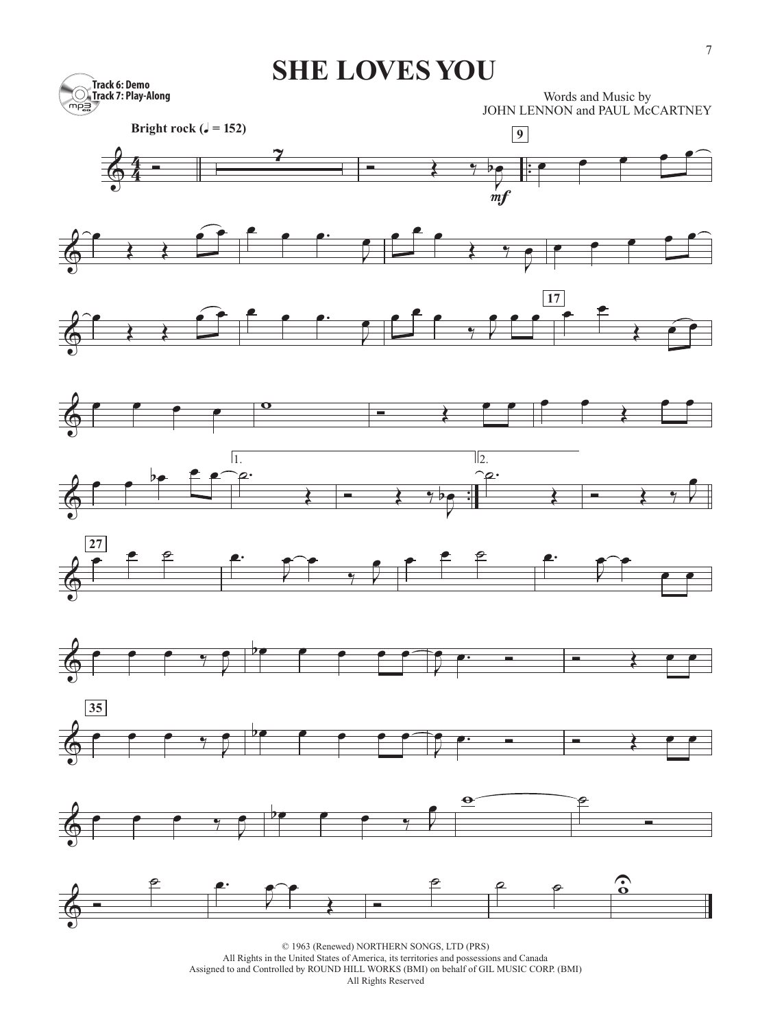### **SHE LOVES YOU**



Words and Music by JOHN LENNON and PAUL McCARTNEY





















© 1963 (Renewed) NORTHERN SONGS, LTD (PRS)

All Rights in the United States of America, its territories and possessions and Canada

Assigned to and Controlled by ROUND HILL WORKS (BMI) on behalf of GIL MUSIC CORP. (BMI)